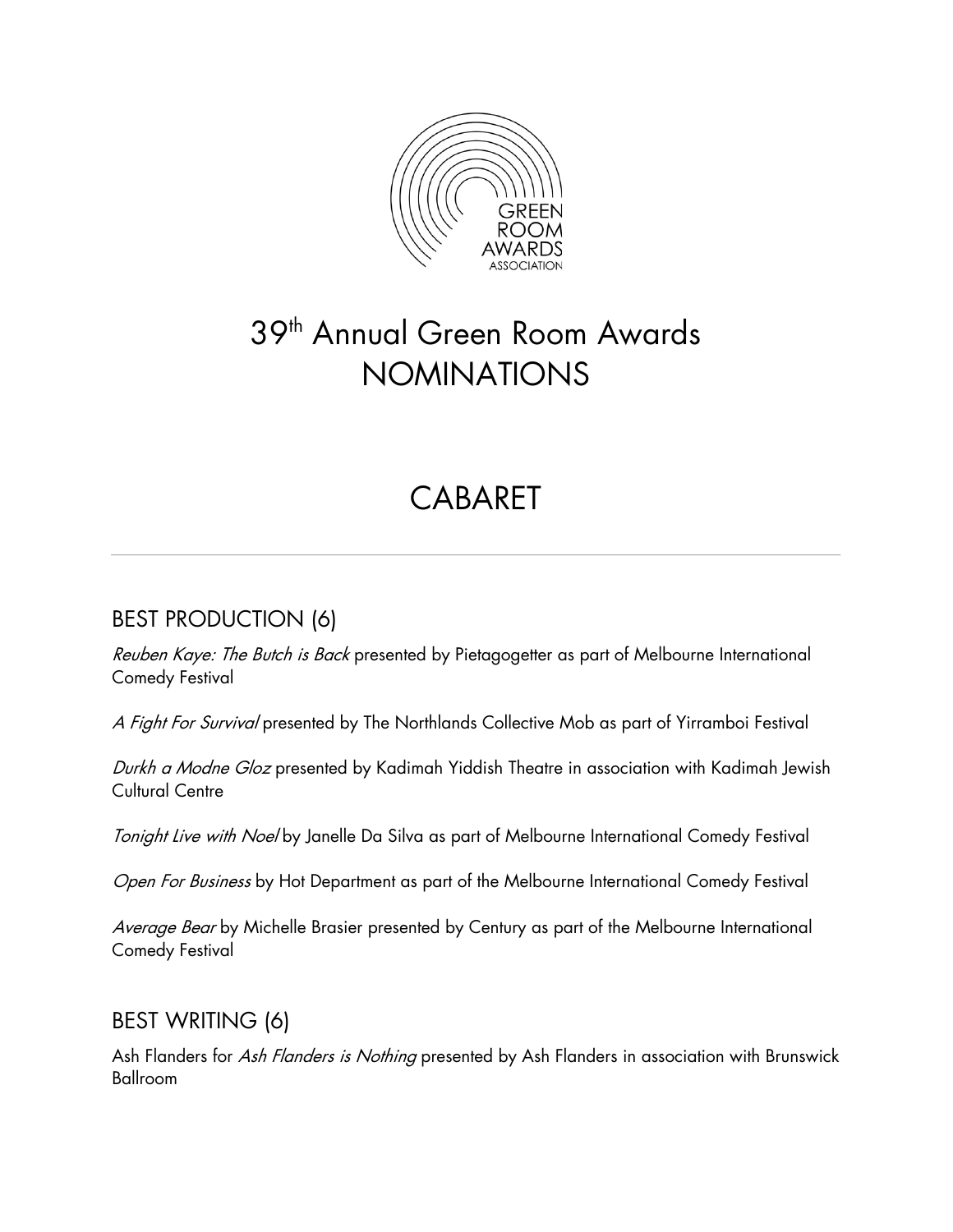

# 39<sup>th</sup> Annual Green Room Awards NOMINATIONS

# **CABARFT**

## BEST PRODUCTION (6)

Reuben Kaye: The Butch is Back presented by Pietagogetter as part of Melbourne International Comedy Festival

A Fight For Survival presented by The Northlands Collective Mob as part of Yirramboi Festival

Durkh a Modne Gloz presented by Kadimah Yiddish Theatre in association with Kadimah Jewish Cultural Centre

Tonight Live with Noel by Janelle Da Silva as part of Melbourne International Comedy Festival

Open For Business by Hot Department as part of the Melbourne International Comedy Festival

Average Bear by Michelle Brasier presented by Century as part of the Melbourne International Comedy Festival

## BEST WRITING (6)

Ash Flanders for Ash Flanders is Nothing presented by Ash Flanders in association with Brunswick Ballroom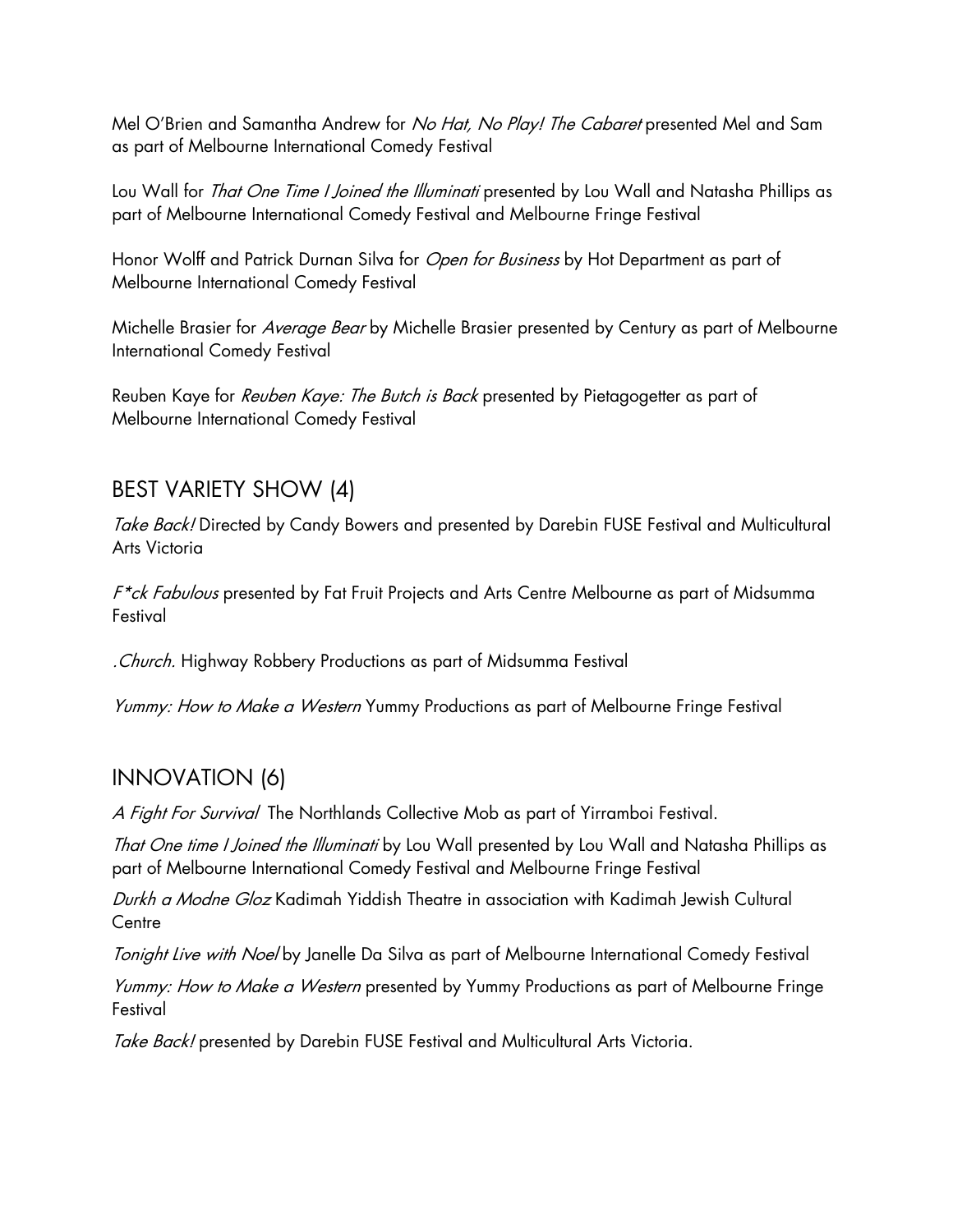Mel O'Brien and Samantha Andrew for No Hat, No Play! The Cabaret presented Mel and Sam as part of Melbourne International Comedy Festival

Lou Wall for *That One Time I Joined the Illuminati* presented by Lou Wall and Natasha Phillips as part of Melbourne International Comedy Festival and Melbourne Fringe Festival

Honor Wolff and Patrick Durnan Silva for Open for Business by Hot Department as part of Melbourne International Comedy Festival

Michelle Brasier for Average Bear by Michelle Brasier presented by Century as part of Melbourne International Comedy Festival

Reuben Kaye for Reuben Kaye: The Butch is Back presented by Pietagogetter as part of Melbourne International Comedy Festival

#### BEST VARIETY SHOW (4)

Take Back! Directed by Candy Bowers and presented by Darebin FUSE Festival and Multicultural Arts Victoria

F<sup>\*</sup>ck Fabulous presented by Fat Fruit Projects and Arts Centre Melbourne as part of Midsumma Festival

.Church. Highway Robbery Productions as part of Midsumma Festival

Yummy: How to Make a Western Yummy Productions as part of Melbourne Fringe Festival

## INNOVATION (6)

A Fight For Survival The Northlands Collective Mob as part of Yirramboi Festival.

That One time I Joined the Illuminati by Lou Wall presented by Lou Wall and Natasha Phillips as part of Melbourne International Comedy Festival and Melbourne Fringe Festival

Durkh a Modne Gloz Kadimah Yiddish Theatre in association with Kadimah Jewish Cultural **Centre** 

Tonight Live with Noel by Janelle Da Silva as part of Melbourne International Comedy Festival

Yummy: How to Make a Western presented by Yummy Productions as part of Melbourne Fringe **Festival** 

Take Back! presented by Darebin FUSE Festival and Multicultural Arts Victoria.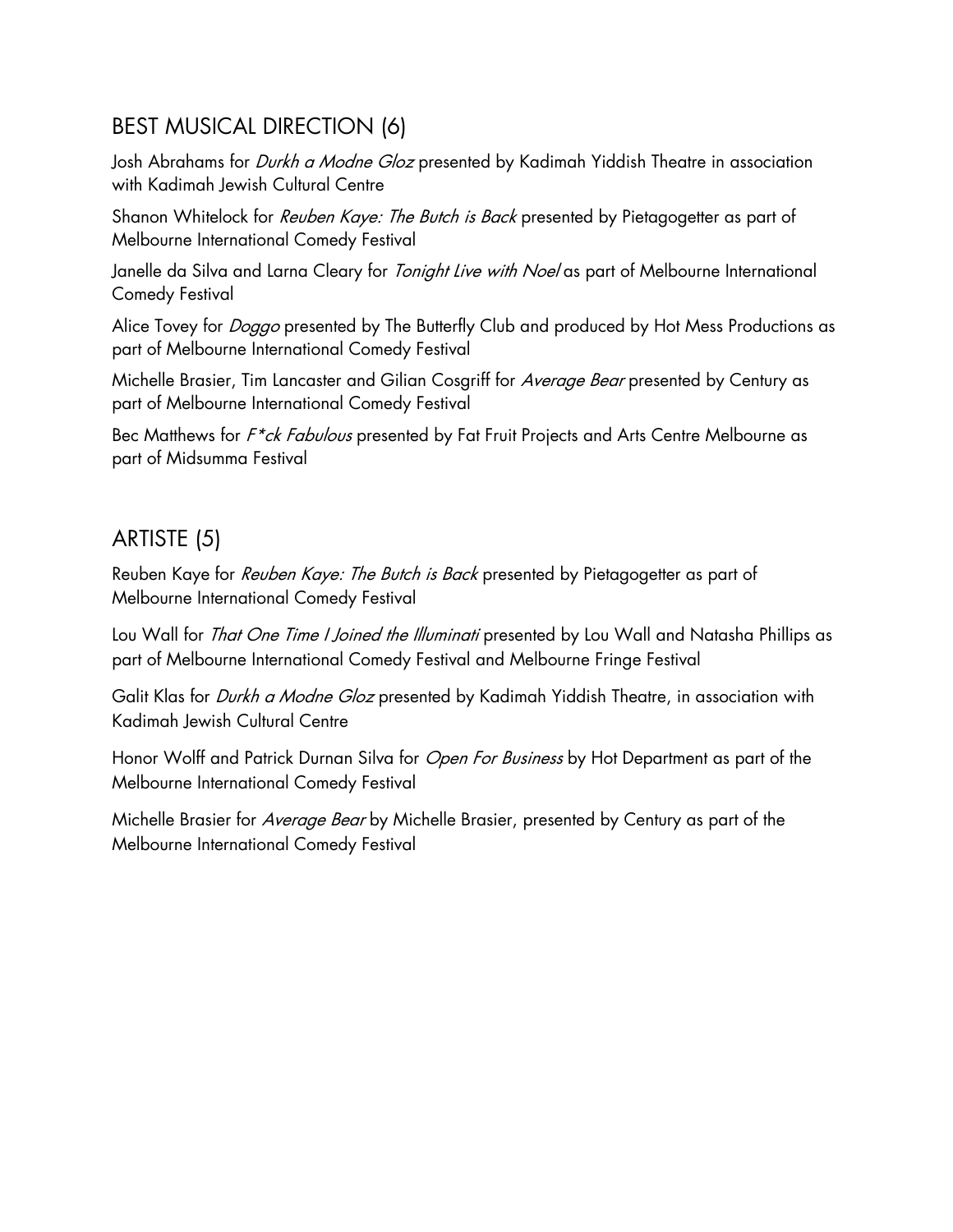## BEST MUSICAL DIRECTION (6)

Josh Abrahams for *Durkh a Modne Gloz* presented by Kadimah Yiddish Theatre in association with Kadimah Jewish Cultural Centre

Shanon Whitelock for Reuben Kaye: The Butch is Back presented by Pietagogetter as part of Melbourne International Comedy Festival

Janelle da Silva and Larna Cleary for *Tonight Live with Noel* as part of Melbourne International Comedy Festival

Alice Tovey for *Doggo* presented by The Butterfly Club and produced by Hot Mess Productions as part of Melbourne International Comedy Festival

Michelle Brasier, Tim Lancaster and Gilian Cosgriff for Average Bear presented by Century as part of Melbourne International Comedy Festival

Bec Matthews for F<sup>\*</sup>ck Fabulous presented by Fat Fruit Projects and Arts Centre Melbourne as part of Midsumma Festival

## ARTISTE (5)

Reuben Kaye for Reuben Kaye: The Butch is Back presented by Pietagogetter as part of Melbourne International Comedy Festival

Lou Wall for *That One Time I Joined the Illuminati* presented by Lou Wall and Natasha Phillips as part of Melbourne International Comedy Festival and Melbourne Fringe Festival

Galit Klas for *Durkh a Modne Gloz* presented by Kadimah Yiddish Theatre, in association with Kadimah Jewish Cultural Centre

Honor Wolff and Patrick Durnan Silva for *Open For Business* by Hot Department as part of the Melbourne International Comedy Festival

Michelle Brasier for *Average Bear* by Michelle Brasier, presented by Century as part of the Melbourne International Comedy Festival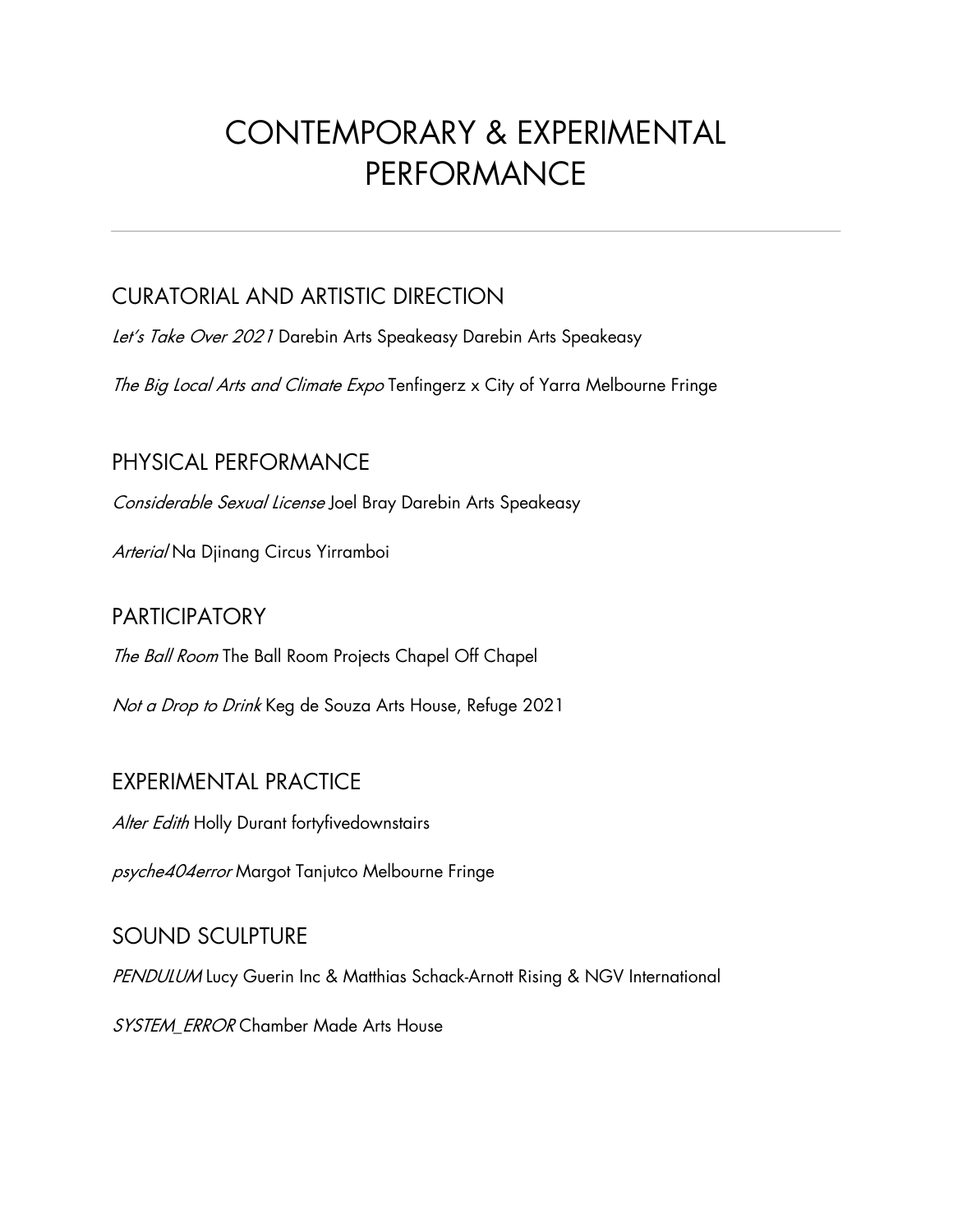# CONTEMPORARY & EXPERIMENTAL PERFORMANCE

## CURATORIAL AND ARTISTIC DIRECTION

Let's Take Over 2021 Darebin Arts Speakeasy Darebin Arts Speakeasy

The Big Local Arts and Climate Expo Tenfingerz x City of Yarra Melbourne Fringe

### PHYSICAL PERFORMANCE

Considerable Sexual License Joel Bray Darebin Arts Speakeasy

Arteria/Na Djinang Circus Yirramboi

#### **PARTICIPATORY**

The Ball Room The Ball Room Projects Chapel Off Chapel

Not a Drop to Drink Keg de Souza Arts House, Refuge 2021

## EXPERIMENTAL PRACTICE

Alter Edith Holly Durant fortyfivedownstairs

psyche404error Margot Tanjutco Melbourne Fringe

## SOUND SCULPTURE

PENDULUM Lucy Guerin Inc & Matthias Schack-Arnott Rising & NGV International

SYSTEM\_ERROR Chamber Made Arts House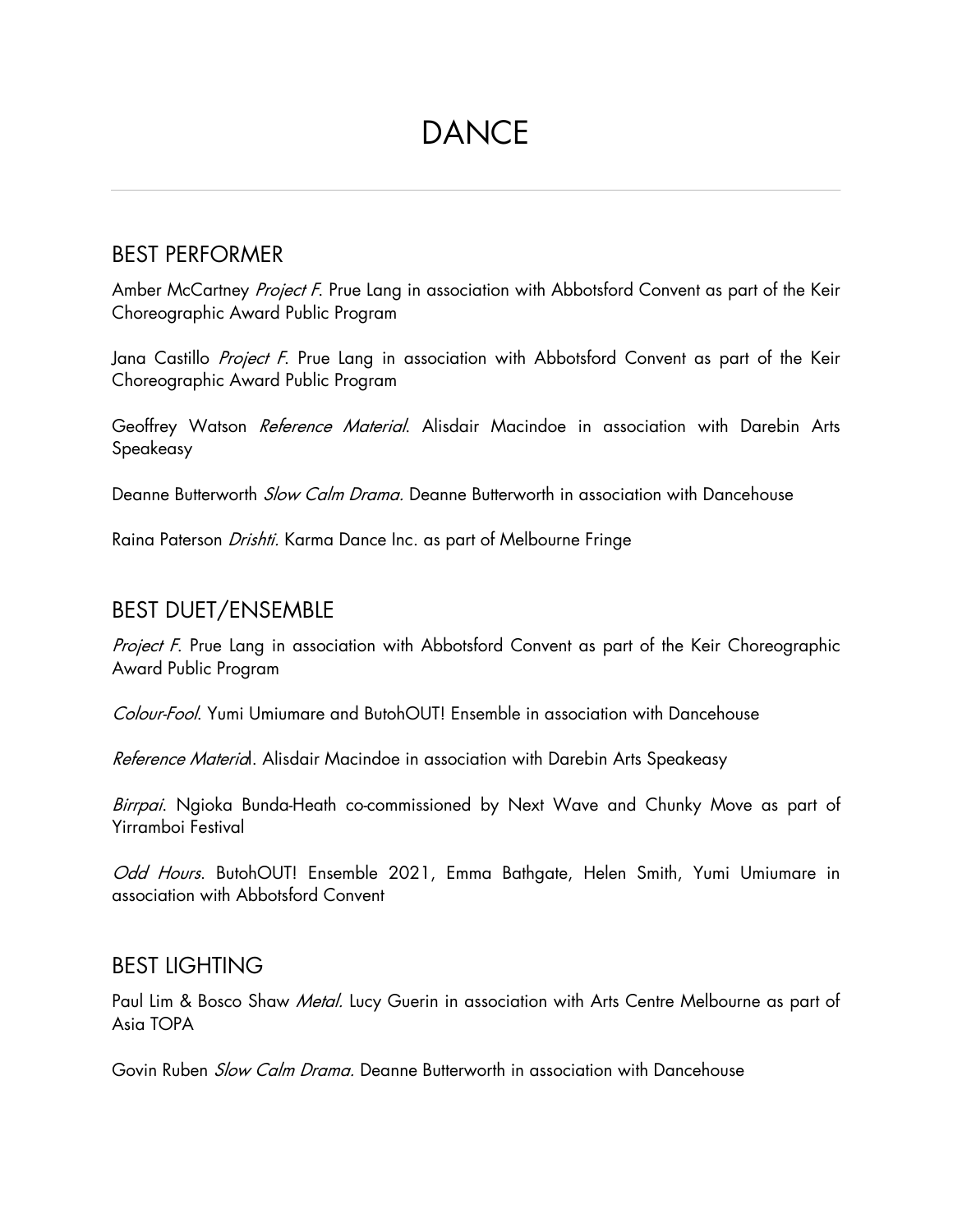# DANCE

#### BEST PERFORMER

Amber McCartney Project F. Prue Lang in association with Abbotsford Convent as part of the Keir Choreographic Award Public Program

Jana Castillo *Project F*. Prue Lang in association with Abbotsford Convent as part of the Keir Choreographic Award Public Program

Geoffrey Watson Reference Material. Alisdair Macindoe in association with Darebin Arts Speakeasy

Deanne Butterworth *Slow Calm Drama*. Deanne Butterworth in association with Dancehouse

Raina Paterson Drishti. Karma Dance Inc. as part of Melbourne Fringe

#### BEST DUET/ENSEMBLE

Project F. Prue Lang in association with Abbotsford Convent as part of the Keir Choreographic Award Public Program

Colour-Fool. Yumi Umiumare and ButohOUT! Ensemble in association with Dancehouse

Reference Material. Alisdair Macindoe in association with Darebin Arts Speakeasy

Birrpai. Ngioka Bunda-Heath co-commissioned by Next Wave and Chunky Move as part of Yirramboi Festival

Odd Hours. ButohOUT! Ensemble 2021, Emma Bathgate, Helen Smith, Yumi Umiumare in association with Abbotsford Convent

#### BEST LIGHTING

Paul Lim & Bosco Shaw *Metal.* Lucy Guerin in association with Arts Centre Melbourne as part of Asia TOPA

Govin Ruben *Slow Calm Drama.* Deanne Butterworth in association with Dancehouse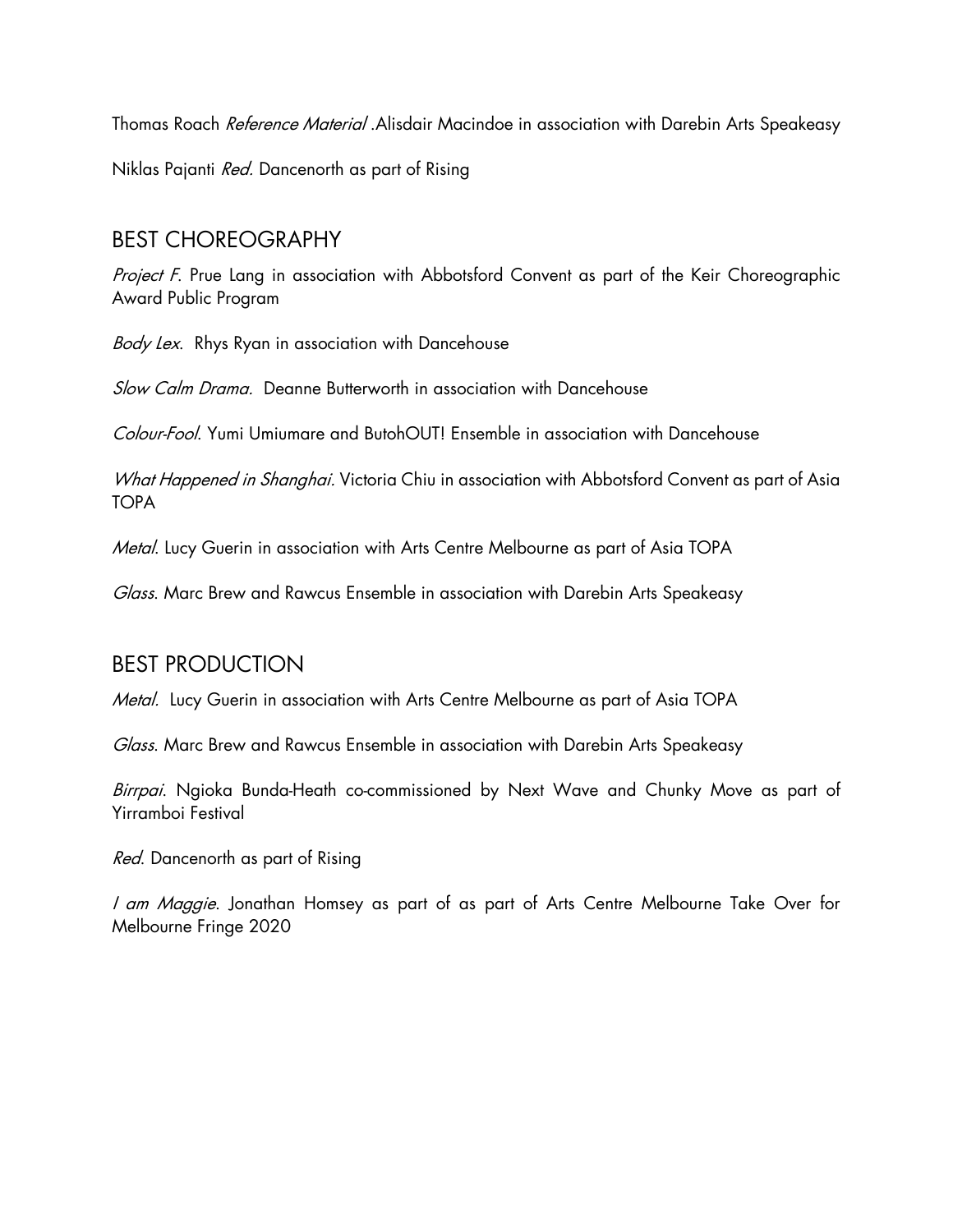Thomas Roach Reference Material .Alisdair Macindoe in association with Darebin Arts Speakeasy Niklas Pajanti Red. Dancenorth as part of Rising

#### BEST CHOREOGRAPHY

Project F. Prue Lang in association with Abbotsford Convent as part of the Keir Choreographic Award Public Program

Body Lex. Rhys Ryan in association with Dancehouse

Slow Calm Drama. Deanne Butterworth in association with Dancehouse

Colour-Fool. Yumi Umiumare and ButohOUT! Ensemble in association with Dancehouse

What Happened in Shanghai. Victoria Chiu in association with Abbotsford Convent as part of Asia TOPA

Metal. Lucy Guerin in association with Arts Centre Melbourne as part of Asia TOPA

Glass. Marc Brew and Rawcus Ensemble in association with Darebin Arts Speakeasy

#### BEST PRODUCTION

Metal. Lucy Guerin in association with Arts Centre Melbourne as part of Asia TOPA

Glass. Marc Brew and Rawcus Ensemble in association with Darebin Arts Speakeasy

Birrpai. Ngioka Bunda-Heath co-commissioned by Next Wave and Chunky Move as part of Yirramboi Festival

Red. Dancenorth as part of Rising

I am Maggie. Jonathan Homsey as part of as part of Arts Centre Melbourne Take Over for Melbourne Fringe 2020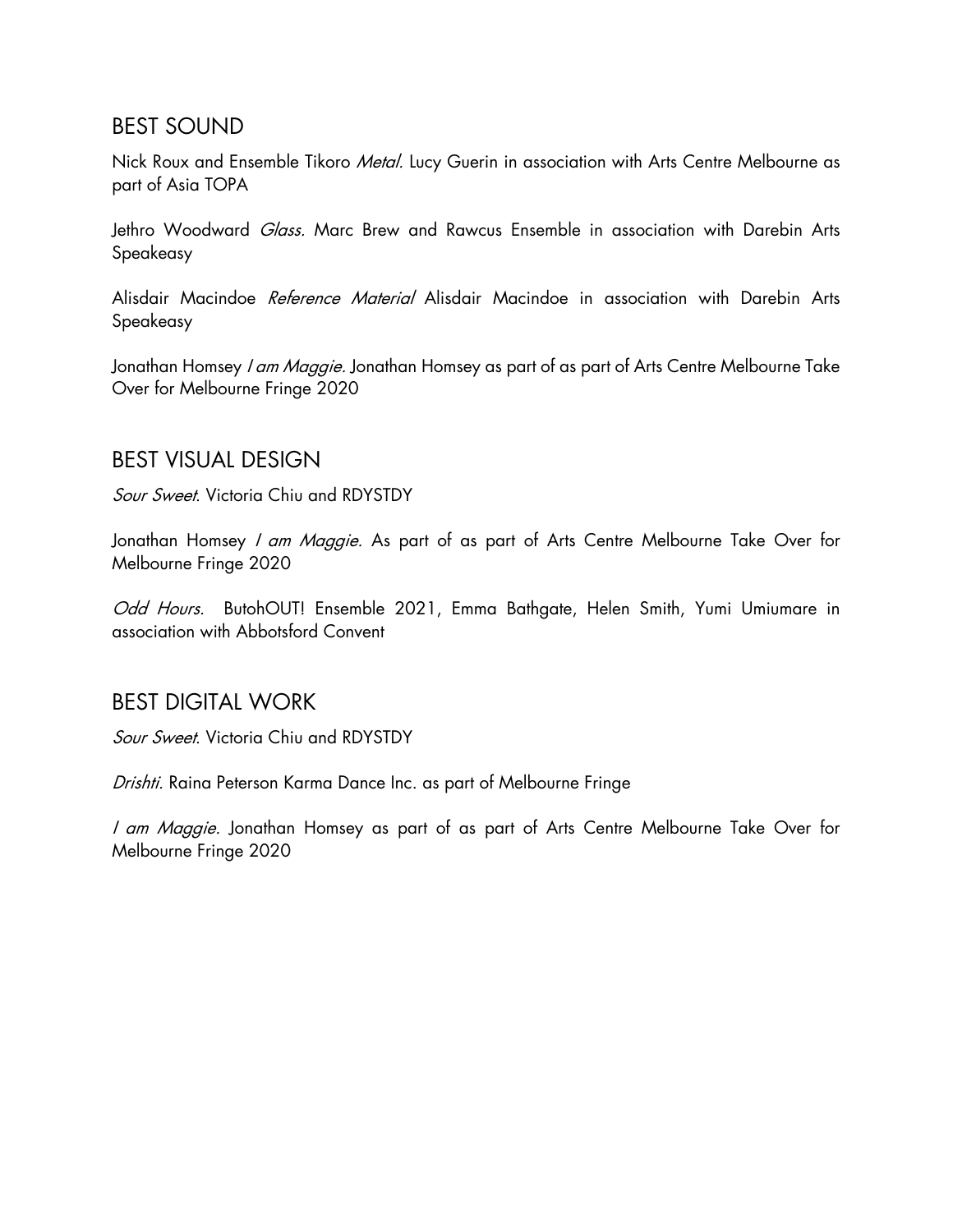#### BEST SOUND

Nick Roux and Ensemble Tikoro Metal. Lucy Guerin in association with Arts Centre Melbourne as part of Asia TOPA

Jethro Woodward *Glass.* Marc Brew and Rawcus Ensemble in association with Darebin Arts Speakeasy

Alisdair Macindoe Reference Material Alisdair Macindoe in association with Darebin Arts Speakeasy

Jonathan Homsey *I am Maggie.* Jonathan Homsey as part of as part of Arts Centre Melbourne Take Over for Melbourne Fringe 2020

#### BEST VISUAL DESIGN

Sour Sweet. Victoria Chiu and RDYSTDY

Jonathan Homsey *I am Maggie.* As part of as part of Arts Centre Melbourne Take Over for Melbourne Fringe 2020

Odd Hours. ButohOUT! Ensemble 2021, Emma Bathgate, Helen Smith, Yumi Umiumare in association with Abbotsford Convent

#### BEST DIGITAL WORK

Sour Sweet. Victoria Chiu and RDYSTDY

Drishti. Raina Peterson Karma Dance Inc. as part of Melbourne Fringe

I am Maggie. Jonathan Homsey as part of as part of Arts Centre Melbourne Take Over for Melbourne Fringe 2020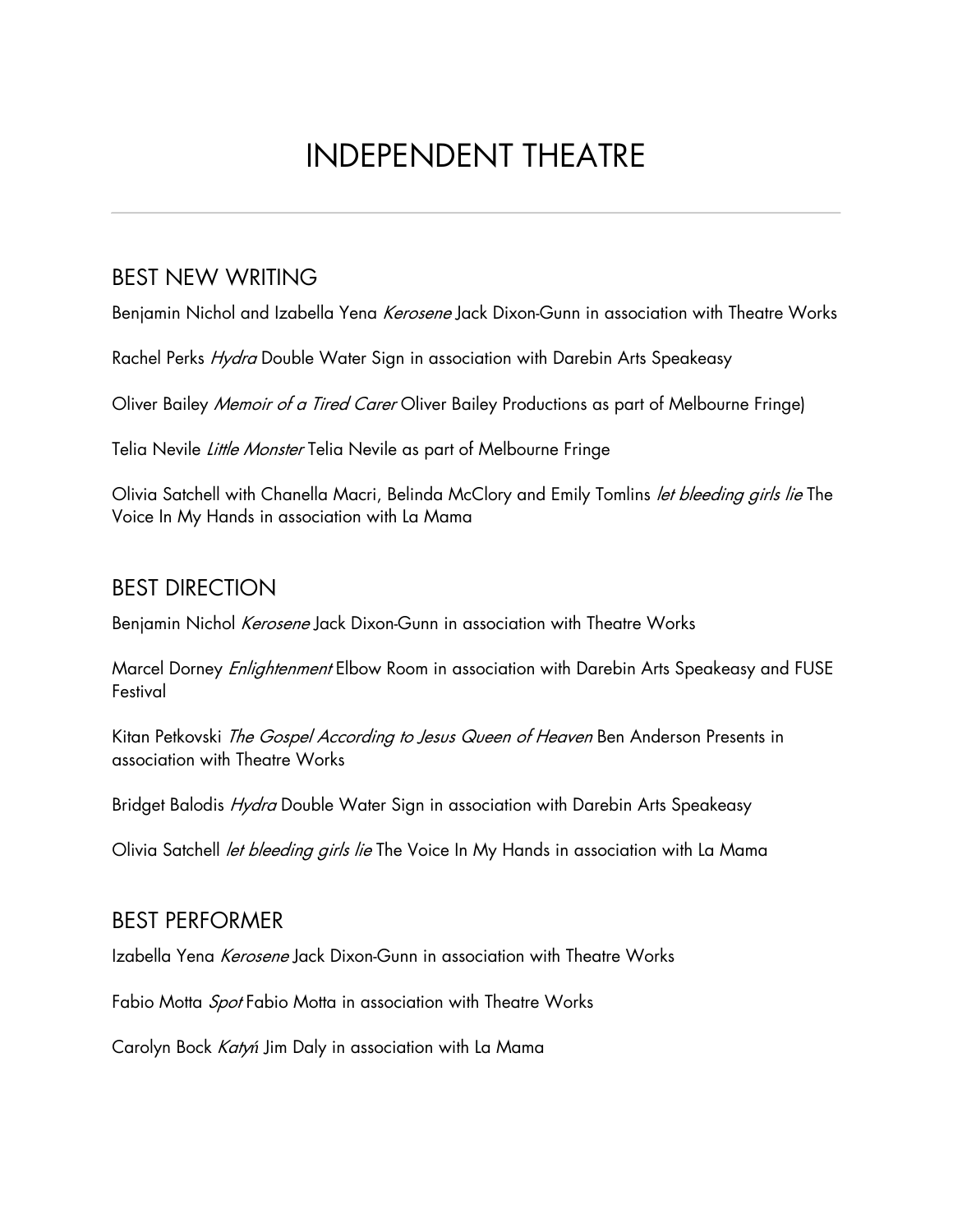# INDEPENDENT THEATRE

## BEST NEW WRITING

Benjamin Nichol and Izabella Yena Kerosene Jack Dixon-Gunn in association with Theatre Works

Rachel Perks *Hydra* Double Water Sign in association with Darebin Arts Speakeasy

Oliver Bailey *Memoir of a Tired Carer* Oliver Bailey Productions as part of Melbourne Fringe)

Telia Nevile Little Monster Telia Nevile as part of Melbourne Fringe

Olivia Satchell with Chanella Macri, Belinda McClory and Emily Tomlins let bleeding girls lie The Voice In My Hands in association with La Mama

### BEST DIRECTION

Benjamin Nichol Kerosene Jack Dixon-Gunn in association with Theatre Works

Marcel Dorney *Enlightenment* Elbow Room in association with Darebin Arts Speakeasy and FUSE Festival

Kitan Petkovski The Gospel According to Jesus Queen of Heaven Ben Anderson Presents in association with Theatre Works

Bridget Balodis *Hydra* Double Water Sign in association with Darebin Arts Speakeasy

Olivia Satchell *let bleeding girls lie* The Voice In My Hands in association with La Mama

#### BEST PERFORMER

Izabella Yena Kerosene Jack Dixon-Gunn in association with Theatre Works

Fabio Motta Spot Fabio Motta in association with Theatre Works

Carolyn Bock Katy*ń* Jim Daly in association with La Mama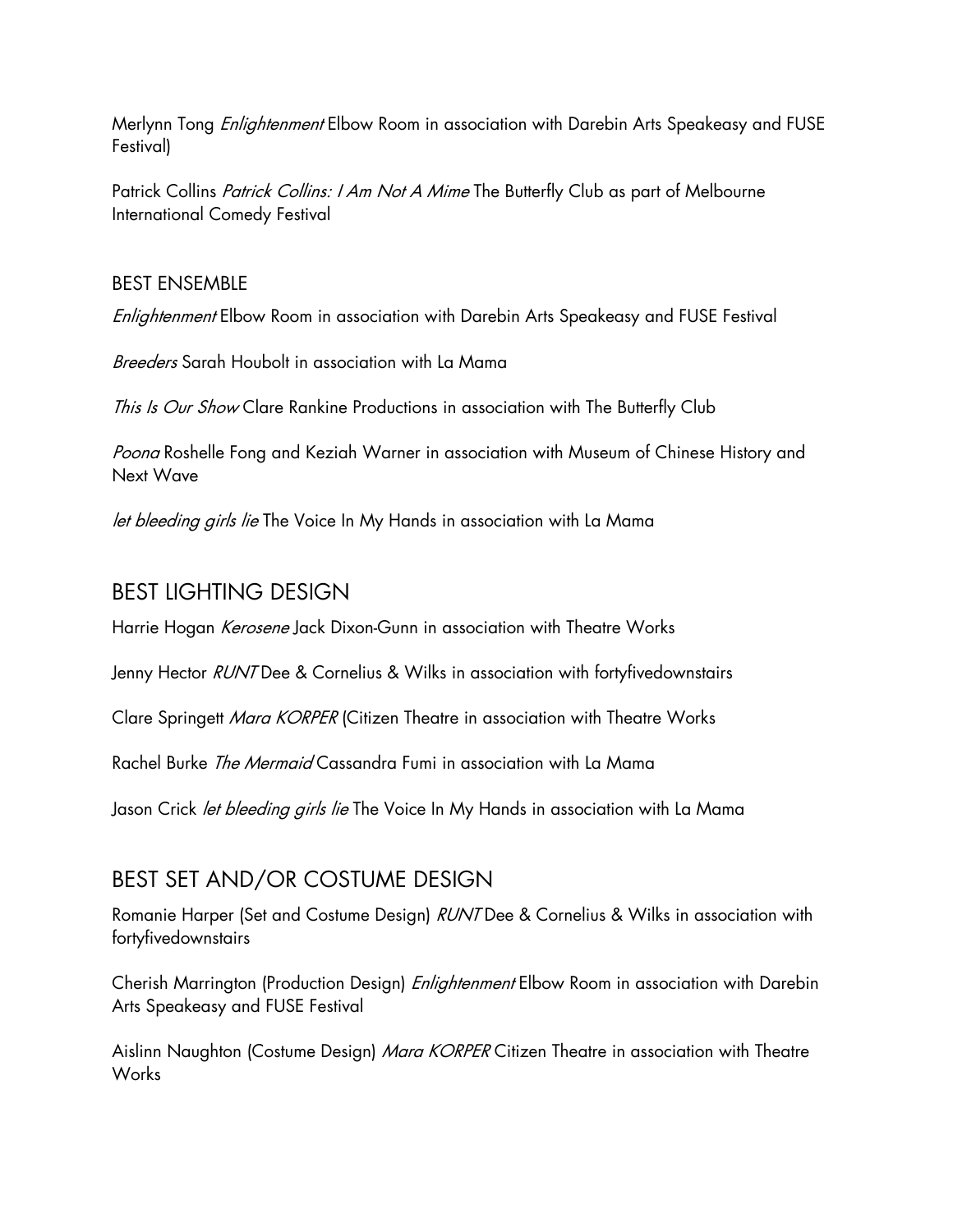Merlynn Tong *Enlightenment* Elbow Room in association with Darebin Arts Speakeasy and FUSE Festival)

Patrick Collins *Patrick Collins: I Am Not A Mime* The Butterfly Club as part of Melbourne International Comedy Festival

#### BEST ENSEMBLE

Enlightenment Elbow Room in association with Darebin Arts Speakeasy and FUSE Festival

Breeders Sarah Houbolt in association with La Mama

This Is Our Show Clare Rankine Productions in association with The Butterfly Club

Poona Roshelle Fong and Keziah Warner in association with Museum of Chinese History and Next Wave

let bleeding girls lie The Voice In My Hands in association with La Mama

#### BEST LIGHTING DESIGN

Harrie Hogan *Kerosene* Jack Dixon-Gunn in association with Theatre Works

Jenny Hector RUNT Dee & Cornelius & Wilks in association with fortyfivedownstairs

Clare Springett Mara KORPER (Citizen Theatre in association with Theatre Works

Rachel Burke The Mermaid Cassandra Fumi in association with La Mama

Jason Crick *let bleeding girls lie* The Voice In My Hands in association with La Mama

## BEST SET AND/OR COSTUME DESIGN

Romanie Harper (Set and Costume Design) RUNT Dee & Cornelius & Wilks in association with fortyfivedownstairs

Cherish Marrington (Production Design) *Enlightenment* Elbow Room in association with Darebin Arts Speakeasy and FUSE Festival

Aislinn Naughton (Costume Design) Mara KORPER Citizen Theatre in association with Theatre Works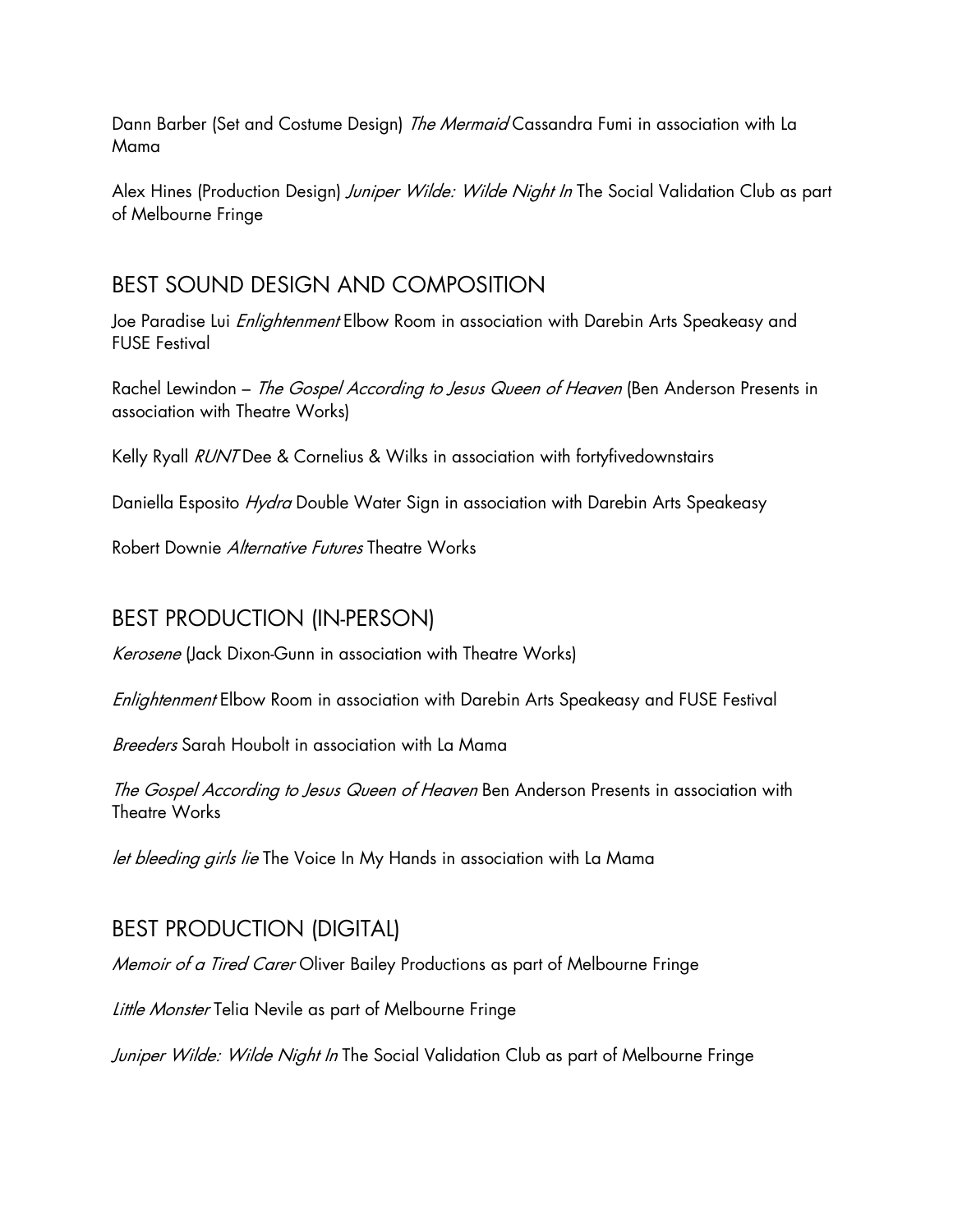Dann Barber (Set and Costume Design) The Mermaid Cassandra Fumi in association with La Mama

Alex Hines (Production Design) Juniper Wilde: Wilde Night In The Social Validation Club as part of Melbourne Fringe

### BEST SOUND DESIGN AND COMPOSITION

Joe Paradise Lui *Enlightenment* Elbow Room in association with Darebin Arts Speakeasy and FUSE Festival

Rachel Lewindon – The Gospel According to Jesus Queen of Heaven (Ben Anderson Presents in association with Theatre Works)

Kelly Ryall RUNT Dee & Cornelius & Wilks in association with fortyfivedownstairs

Daniella Esposito Hydra Double Water Sign in association with Darebin Arts Speakeasy

Robert Downie Alternative Futures Theatre Works

## BEST PRODUCTION (IN-PERSON)

Kerosene (Jack Dixon-Gunn in association with Theatre Works)

Enlightenment Elbow Room in association with Darebin Arts Speakeasy and FUSE Festival

Breeders Sarah Houbolt in association with La Mama

The Gospel According to Jesus Queen of Heaven Ben Anderson Presents in association with Theatre Works

let bleeding girls lie The Voice In My Hands in association with La Mama

## BEST PRODUCTION (DIGITAL)

Memoir of a Tired Carer Oliver Bailey Productions as part of Melbourne Fringe

Little Monster Telia Nevile as part of Melbourne Fringe

Juniper Wilde: Wilde Night In The Social Validation Club as part of Melbourne Fringe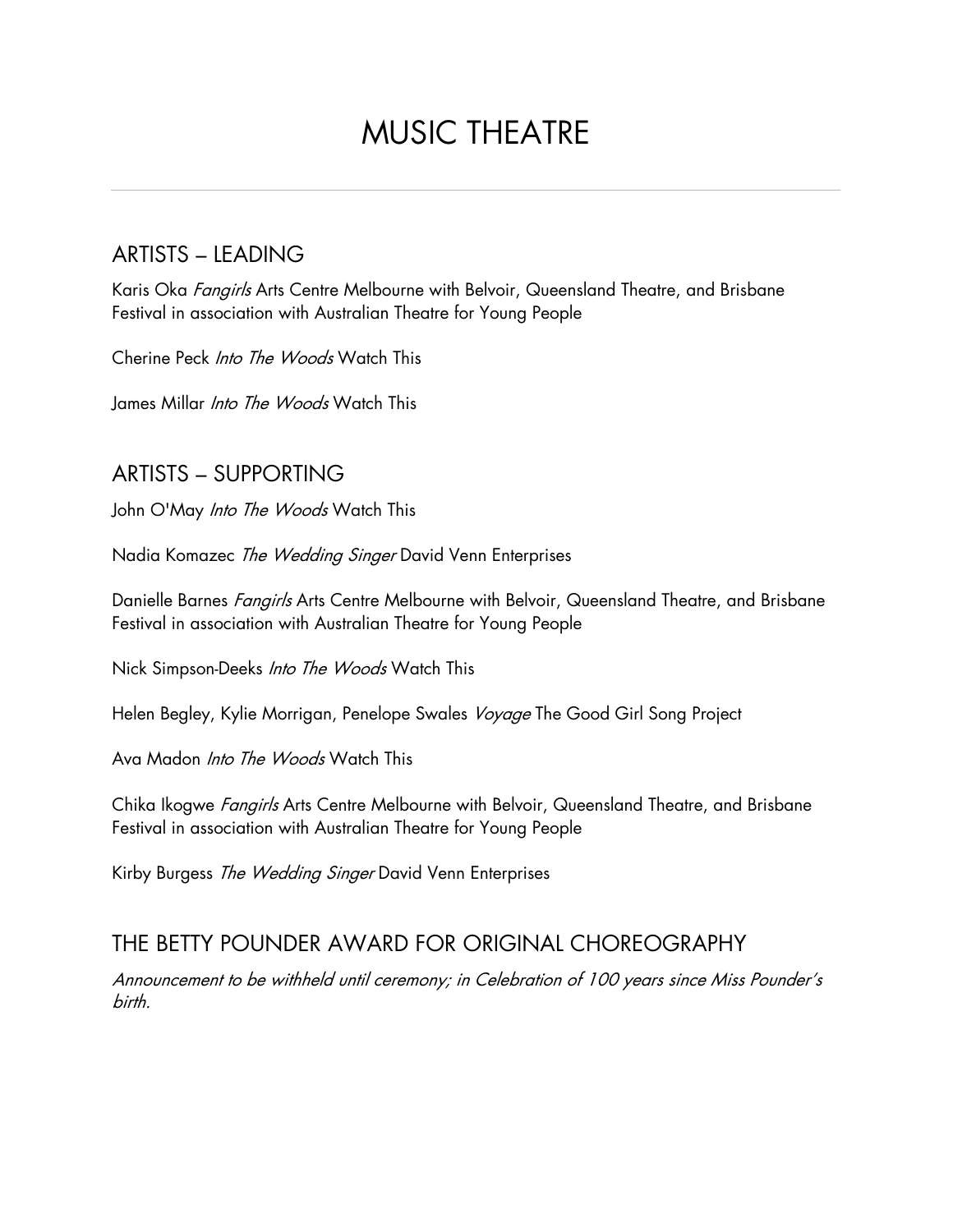# MUSIC THEATRE

### ARTISTS – LEADING

Karis Oka Fangirls Arts Centre Melbourne with Belvoir, Queensland Theatre, and Brisbane Festival in association with Australian Theatre for Young People

Cherine Peck Into The Woods Watch This

James Millar *Into The Woods* Watch This

#### ARTISTS – SUPPORTING

John O'May *Into The Woods* Watch This

Nadia Komazec The Wedding Singer David Venn Enterprises

Danielle Barnes *Fangirls* Arts Centre Melbourne with Belvoir, Queensland Theatre, and Brisbane Festival in association with Australian Theatre for Young People

Nick Simpson-Deeks Into The Woods Watch This

Helen Begley, Kylie Morrigan, Penelope Swales Voyage The Good Girl Song Project

Ava Madon *Into The Woods* Watch This

Chika Ikogwe Fangirls Arts Centre Melbourne with Belvoir, Queensland Theatre, and Brisbane Festival in association with Australian Theatre for Young People

Kirby Burgess The Wedding Singer David Venn Enterprises

#### THE BETTY POUNDER AWARD FOR ORIGINAL CHOREOGRAPHY

Announcement to be withheld until ceremony; in Celebration of 100 years since Miss Pounder's birth.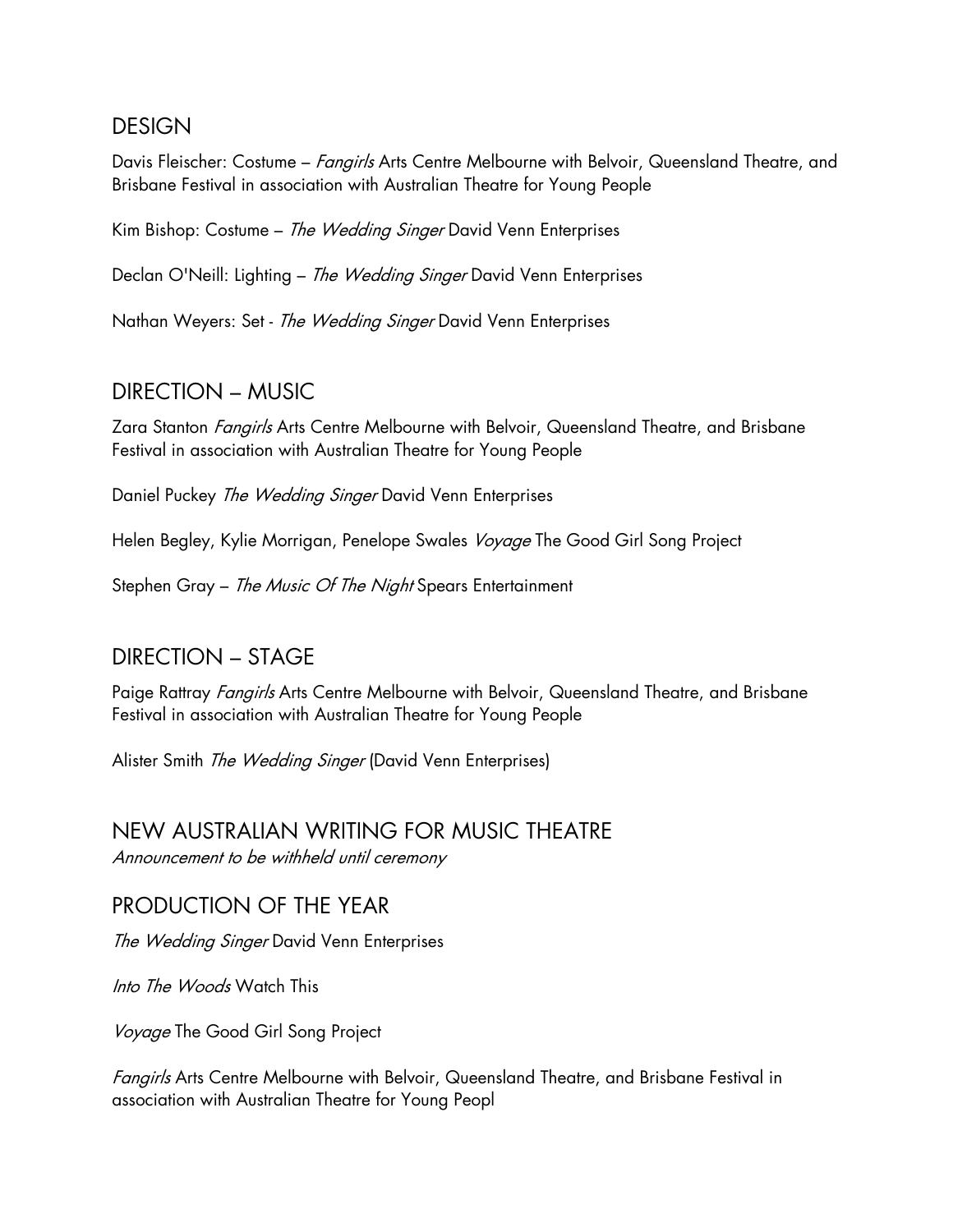#### DESIGN

Davis Fleischer: Costume – Fangirls Arts Centre Melbourne with Belvoir, Queensland Theatre, and Brisbane Festival in association with Australian Theatre for Young People

Kim Bishop: Costume - The Wedding Singer David Venn Enterprises

Declan O'Neill: Lighting - The Wedding Singer David Venn Enterprises

Nathan Weyers: Set - The Wedding Singer David Venn Enterprises

#### DIRECTION – MUSIC

Zara Stanton *Fangirls* Arts Centre Melbourne with Belvoir, Queensland Theatre, and Brisbane Festival in association with Australian Theatre for Young People

Daniel Puckey The Wedding Singer David Venn Enterprises

Helen Begley, Kylie Morrigan, Penelope Swales Voyage The Good Girl Song Project

Stephen Gray - The Music Of The Night Spears Entertainment

#### DIRECTION – STAGE

Paige Rattray *Fangirls* Arts Centre Melbourne with Belvoir, Queensland Theatre, and Brisbane Festival in association with Australian Theatre for Young People

Alister Smith The Wedding Singer (David Venn Enterprises)

# NEW AUSTRALIAN WRITING FOR MUSIC THEATRE

Announcement to be withheld until ceremony

#### PRODUCTION OF THE YEAR

The Wedding Singer David Venn Enterprises

Into The Woods Watch This

Voyage The Good Girl Song Project

Fangirls Arts Centre Melbourne with Belvoir, Queensland Theatre, and Brisbane Festival in association with Australian Theatre for Young Peopl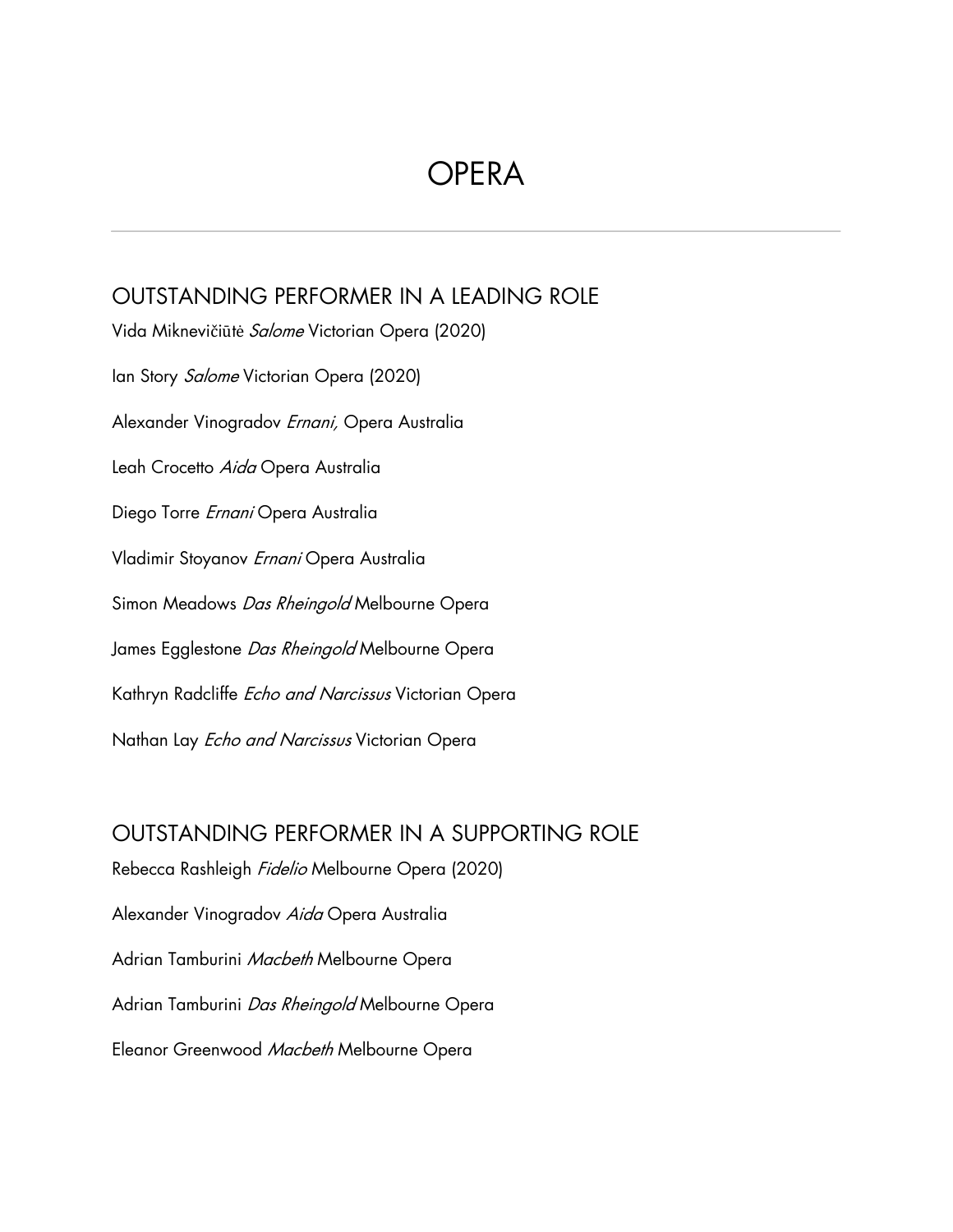# **OPERA**

### OUTSTANDING PERFORMER IN A LEADING ROLE

Vida Miknevičiūtė Salome Victorian Opera (2020) Ian Story Salome Victorian Opera (2020) Alexander Vinogradov Ernani, Opera Australia Leah Crocetto Aida Opera Australia Diego Torre Ernani Opera Australia Vladimir Stoyanov Ernani Opera Australia Simon Meadows Das Rheingold Melbourne Opera James Egglestone Das Rheingold Melbourne Opera Kathryn Radcliffe Echo and Narcissus Victorian Opera Nathan Lay *Echo and Narcissus* Victorian Opera

OUTSTANDING PERFORMER IN A SUPPORTING ROLE Rebecca Rashleigh *Fidelio* Melbourne Opera (2020) Alexander Vinogradov Aida Opera Australia Adrian Tamburini Macbeth Melbourne Opera Adrian Tamburini Das Rheingold Melbourne Opera Eleanor Greenwood Macbeth Melbourne Opera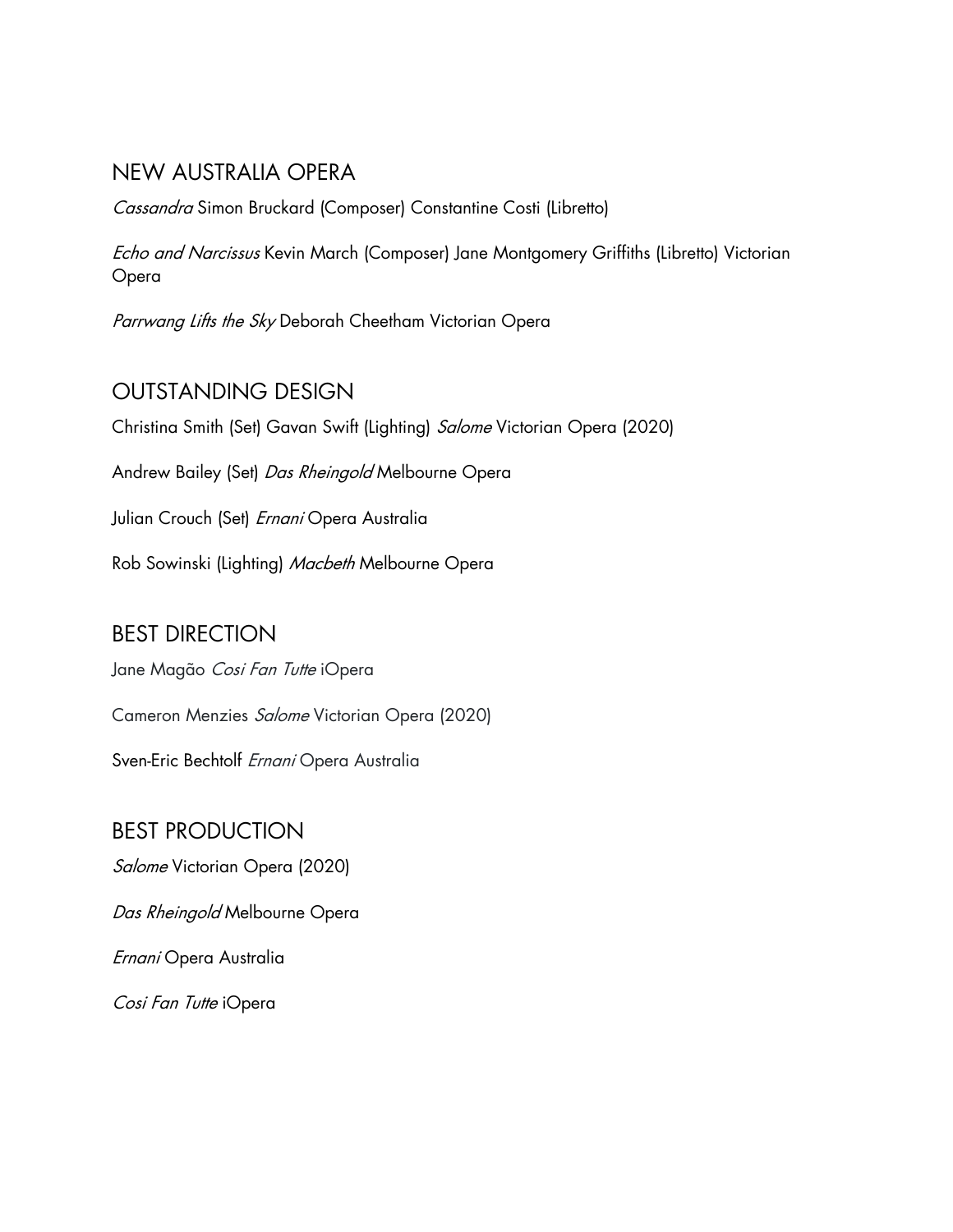### NEW AUSTRALIA OPERA

Cassandra Simon Bruckard (Composer) Constantine Costi (Libretto)

Echo and Narcissus Kevin March (Composer) Jane Montgomery Griffiths (Libretto) Victorian Opera

Parrwang Lifts the Sky Deborah Cheetham Victorian Opera

## OUTSTANDING DESIGN

Christina Smith (Set) Gavan Swift (Lighting) Salome Victorian Opera (2020)

Andrew Bailey (Set) Das Rheingold Melbourne Opera

Julian Crouch (Set) *Ernani* Opera Australia

Rob Sowinski (Lighting) Macbeth Melbourne Opera

## BEST DIRECTION

Jane Magão Cosi Fan Tutte iOpera

Cameron Menzies Salome Victorian Opera (2020)

Sven-Eric Bechtolf Ernani Opera Australia

# BEST PRODUCTION Salome Victorian Opera (2020)

Das Rheingold Melbourne Opera

Ernani Opera Australia

Cosi Fan Tutte iOpera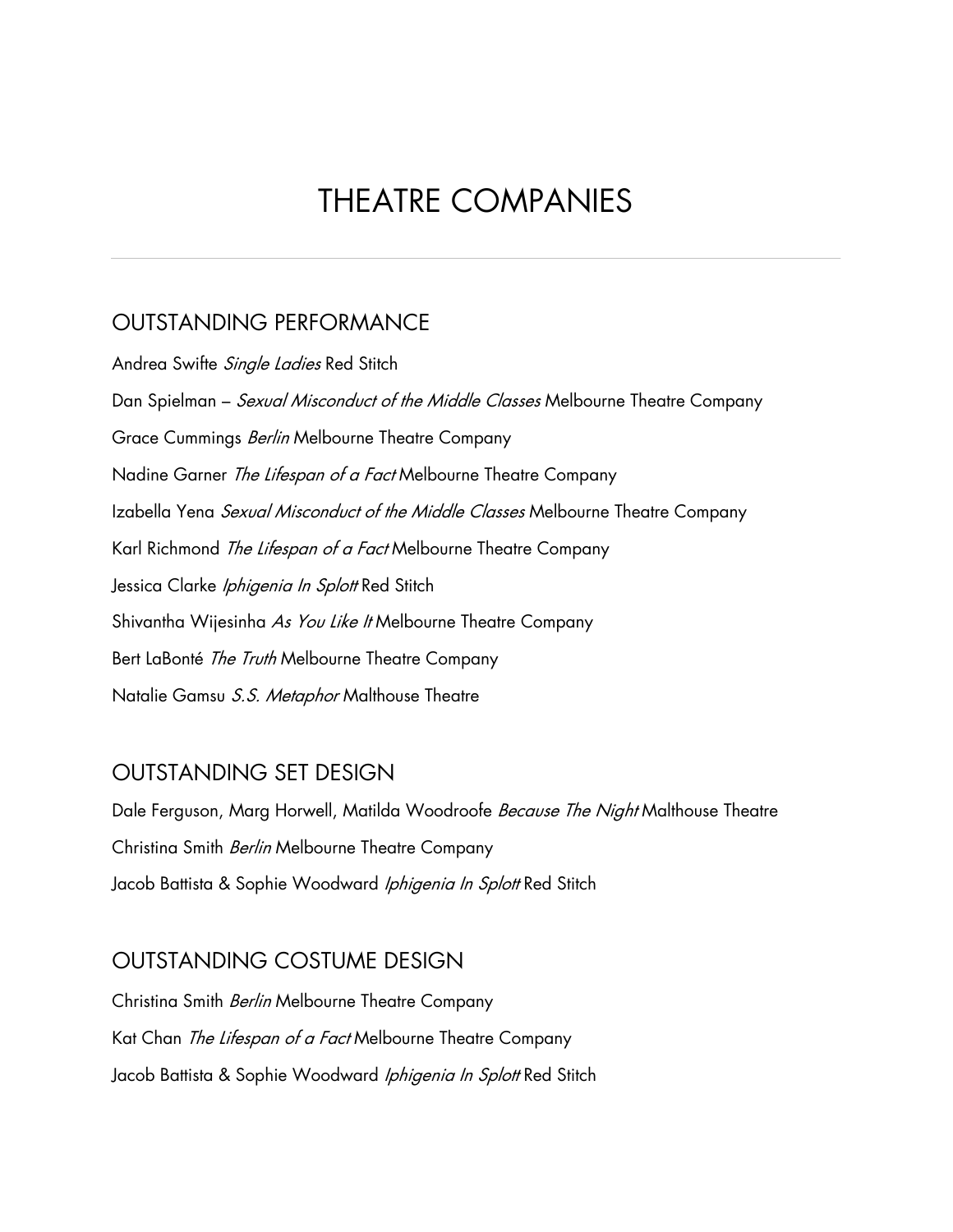# THEATRE COMPANIES

#### OUTSTANDING PERFORMANCE

Andrea Swifte Single Ladies Red Stitch Dan Spielman – Sexual Misconduct of the Middle Classes Melbourne Theatre Company Grace Cummings Berlin Melbourne Theatre Company Nadine Garner The Lifespan of a Fact Melbourne Theatre Company Izabella Yena Sexual Misconduct of the Middle Classes Melbourne Theatre Company Karl Richmond The Lifespan of a Fact Melbourne Theatre Company Jessica Clarke Iphigenia In Splott Red Stitch Shivantha Wijesinha As You Like It Melbourne Theatre Company Bert LaBonté The Truth Melbourne Theatre Company Natalie Gamsu S.S. Metaphor Malthouse Theatre

#### OUTSTANDING SET DESIGN

Dale Ferguson, Marg Horwell, Matilda Woodroofe Because The Night Malthouse Theatre Christina Smith Berlin Melbourne Theatre Company Jacob Battista & Sophie Woodward Iphigenia In Splott Red Stitch

#### OUTSTANDING COSTUME DESIGN

Christina Smith Berlin Melbourne Theatre Company Kat Chan The Lifespan of a Fact Melbourne Theatre Company Jacob Battista & Sophie Woodward Iphigenia In Splott Red Stitch